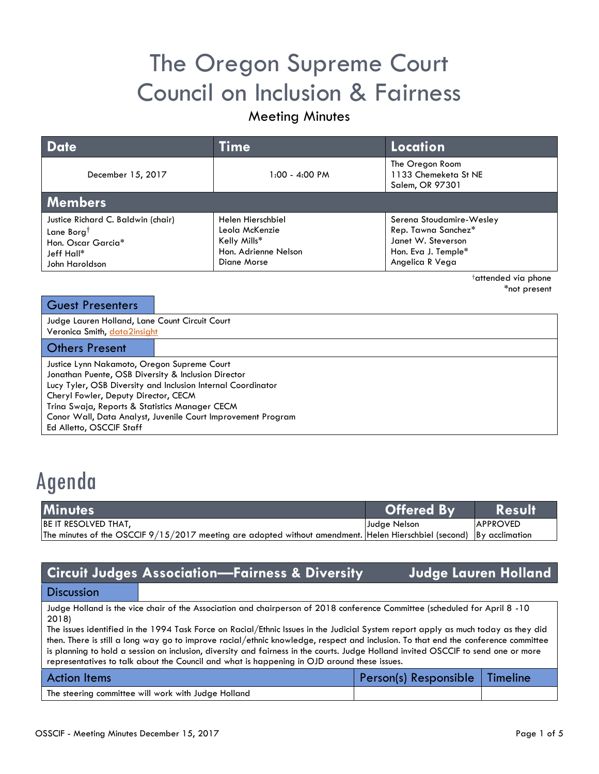# The Oregon Supreme Court Council on Inclusion & Fairness

## Meeting Minutes

| <b>Date</b>                                                                                                        | Time                                                                                       | Location                                                                                                        |  |  |  |
|--------------------------------------------------------------------------------------------------------------------|--------------------------------------------------------------------------------------------|-----------------------------------------------------------------------------------------------------------------|--|--|--|
| December 15, 2017                                                                                                  | 1:00 - 4:00 PM                                                                             | The Oregon Room<br>1133 Chemeketa St NE<br>Salem, OR 97301                                                      |  |  |  |
| <b>Members</b>                                                                                                     |                                                                                            |                                                                                                                 |  |  |  |
| Justice Richard C. Baldwin (chair)<br>Lane Borg <sup>†</sup><br>Hon. Oscar Garcia*<br>Jeff Hall*<br>John Haroldson | Helen Hierschbiel<br>Leola McKenzie<br>Kelly Mills*<br>Hon. Adrienne Nelson<br>Diane Morse | Serena Stoudamire-Wesley<br>Rep. Tawna Sanchez*<br>Janet W. Steverson<br>Hon. Eva J. Temple*<br>Angelica R Vega |  |  |  |

†attended via phone \*not present

| <b>Guest Presenters</b>                                                                                                                                            |  |  |  |  |
|--------------------------------------------------------------------------------------------------------------------------------------------------------------------|--|--|--|--|
| Judge Lauren Holland, Lane Count Circuit Court<br>Veronica Smith, data2insight                                                                                     |  |  |  |  |
| <b>Others Present</b>                                                                                                                                              |  |  |  |  |
| Justice Lynn Nakamoto, Oregon Supreme Court<br>Jonathan Puente, OSB Diversity & Inclusion Director<br>Lucy Tyler, OSB Diversity and Inclusion Internal Coordinator |  |  |  |  |
| Cheryl Fowler, Deputy Director, CECM<br>Trina Swaja, Reports & Statistics Manager CECM                                                                             |  |  |  |  |
| Conor Wall, Data Analyst, Juvenile Court Improvement Program                                                                                                       |  |  |  |  |

Ed Alletto, OSCCIF Staff

# Agenda

| <b>Minutes</b>                                                                                                        | Offered By   | <b>Result</b>    |
|-----------------------------------------------------------------------------------------------------------------------|--------------|------------------|
| BE IT RESOLVED THAT,                                                                                                  | Judge Nelson | <b>IAPPROVED</b> |
| The minutes of the OSCCIF 9/15/2017 meeting are adopted without amendment. Helen Hierschbiel (second)  By acclimation |              |                  |

## **Circuit Judges Association—Fairness & Diversity Judge Lauren Holland**

### **Discussion**

Judge Holland is the vice chair of the Association and chairperson of 2018 conference Committee (scheduled for April 8 -10 2018)

The issues identified in the 1994 Task Force on Racial/Ethnic Issues in the Judicial System report apply as much today as they did then. There is still a long way go to improve racial/ethnic knowledge, respect and inclusion. To that end the conference committee is planning to hold a session on inclusion, diversity and fairness in the courts. Judge Holland invited OSCCIF to send one or more representatives to talk about the Council and what is happening in OJD around these issues.

| <b>Action Items</b>                                 | Person(s) Responsible   Timeline |  |
|-----------------------------------------------------|----------------------------------|--|
| The steering committee will work with Judge Holland |                                  |  |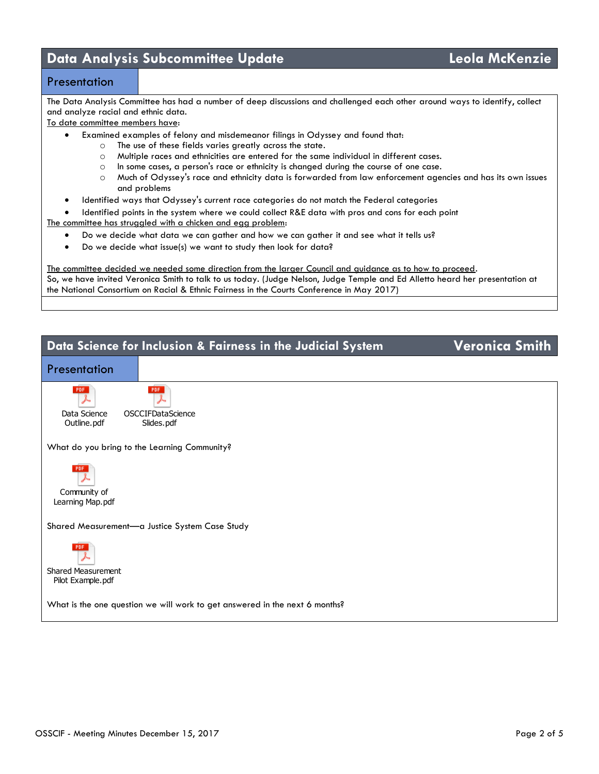# **Data Analysis Subcommittee Update Leola McKenzie**

### **Presentation**

The Data Analysis Committee has had a number of deep discussions and challenged each other around ways to identify, collect and analyze racial and ethnic data.

To date committee members have:

- Examined examples of felony and misdemeanor filings in Odyssey and found that:
	- o The use of these fields varies greatly across the state.
	- o Multiple races and ethnicities are entered for the same individual in different cases.
	- o In some cases, a person's race or ethnicity is changed during the course of one case.
	- o Much of Odyssey's race and ethnicity data is forwarded from law enforcement agencies and has its own issues and problems
- Identified ways that Odyssey's current race categories do not match the Federal categories
- Identified points in the system where we could collect R&E data with pros and cons for each point
- The committee has struggled with a chicken and egg problem:
	- Do we decide what data we can gather and how we can gather it and see what it tells us?
	- Do we decide what issue(s) we want to study then look for data?

The committee decided we needed some direction from the larger Council and guidance as to how to proceed. So, we have invited Veronica Smith to talk to us today. (Judge Nelson, Judge Temple and Ed Alletto heard her presentation at the National Consortium on Racial & Ethnic Fairness in the Courts Conference in May 2017)

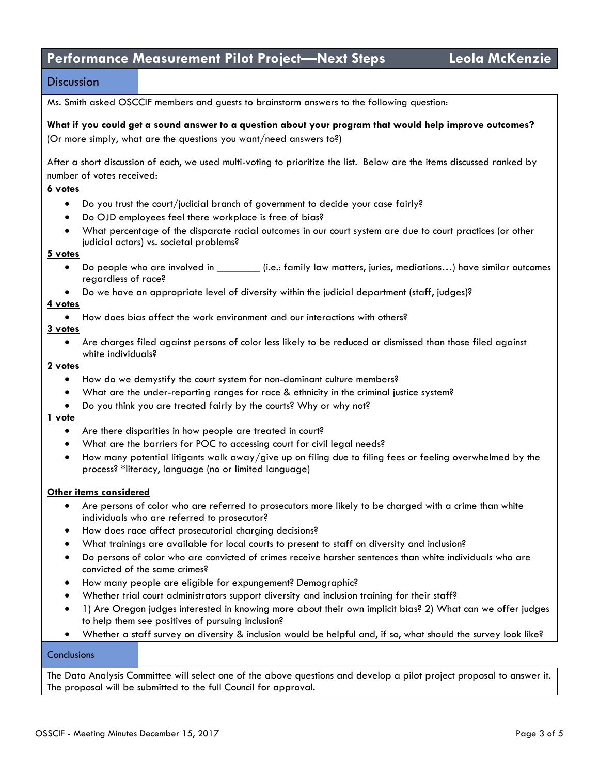# **Performance Measurement Pilot Project—Next Steps Leola McKenzie**

### **Discussion**

Ms. Smith asked OSCCIF members and guests to brainstorm answers to the following question:

#### **What if you could get a sound answer to a question about your program that would help improve outcomes?** (Or more simply, what are the questions you want/need answers to?)

After a short discussion of each, we used multi-voting to prioritize the list. Below are the items discussed ranked by number of votes received:

#### **6 votes**

- Do you trust the court/judicial branch of government to decide your case fairly?
- Do OJD employees feel there workplace is free of bias?
- What percentage of the disparate racial outcomes in our court system are due to court practices (or other judicial actors) vs. societal problems?

#### **5 votes**

- Do people who are involved in \_\_\_\_\_\_\_\_\_\_ (i.e.: family law matters, juries, mediations...) have similar outcomes regardless of race?
- Do we have an appropriate level of diversity within the judicial department (staff, judges)?

#### **4 votes**

How does bias affect the work environment and our interactions with others?

#### **3 votes**

 Are charges filed against persons of color less likely to be reduced or dismissed than those filed against white individuals?

#### **2 votes**

- How do we demystify the court system for non-dominant culture members?
- What are the under-reporting ranges for race & ethnicity in the criminal justice system?
- Do you think you are treated fairly by the courts? Why or why not?

#### **1 vote**

- Are there disparities in how people are treated in court?
- What are the barriers for POC to accessing court for civil legal needs?
- $\bullet$  How many potential litigants walk away/give up on filing due to filing fees or feeling overwhelmed by the process? \*literacy, language (no or limited language)

#### **Other items considered**

- Are persons of color who are referred to prosecutors more likely to be charged with a crime than white individuals who are referred to prosecutor?
- How does race affect prosecutorial charging decisions?
- What trainings are available for local courts to present to staff on diversity and inclusion?
- Do persons of color who are convicted of crimes receive harsher sentences than white individuals who are convicted of the same crimes?
- How many people are eligible for expungement? Demographic?
- Whether trial court administrators support diversity and inclusion training for their staff?
- 1) Are Oregon judges interested in knowing more about their own implicit bias? 2) What can we offer judges to help them see positives of pursuing inclusion?
- Whether a staff survey on diversity & inclusion would be helpful and, if so, what should the survey look like?

#### **Conclusions**

The Data Analysis Committee will select one of the above questions and develop a pilot project proposal to answer it. The proposal will be submitted to the full Council for approval.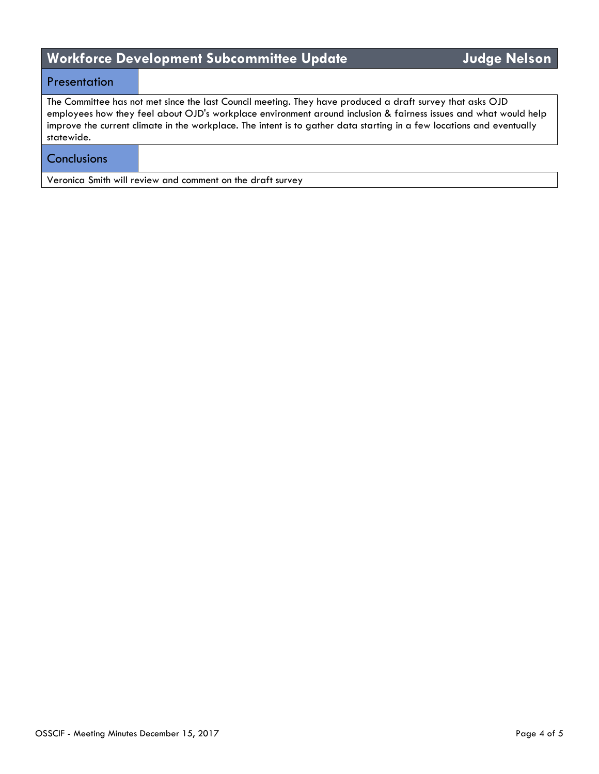# **Workforce Development Subcommittee Update Judge Nelson**

## **Presentation**

The Committee has not met since the last Council meeting. They have produced a draft survey that asks OJD employees how they feel about OJD's workplace environment around inclusion & fairness issues and what would help improve the current climate in the workplace. The intent is to gather data starting in a few locations and eventually statewide.

## **Conclusions**

Veronica Smith will review and comment on the draft survey